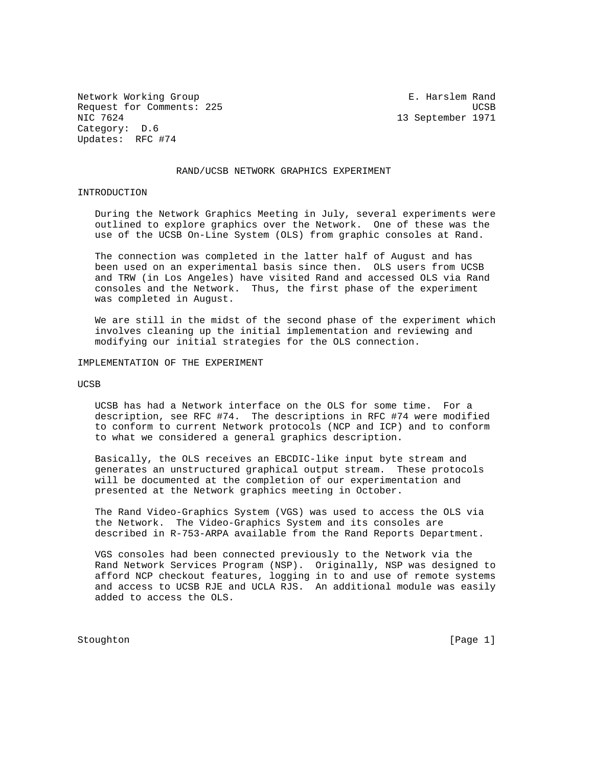Network Working Group **E. Harslem Rand** Request for Comments: 225 UCSB NIC 7624 13 September 1971 Category: D.6 Updates: RFC #74

## RAND/UCSB NETWORK GRAPHICS EXPERIMENT

## INTRODUCTION

 During the Network Graphics Meeting in July, several experiments were outlined to explore graphics over the Network. One of these was the use of the UCSB On-Line System (OLS) from graphic consoles at Rand.

 The connection was completed in the latter half of August and has been used on an experimental basis since then. OLS users from UCSB and TRW (in Los Angeles) have visited Rand and accessed OLS via Rand consoles and the Network. Thus, the first phase of the experiment was completed in August.

 We are still in the midst of the second phase of the experiment which involves cleaning up the initial implementation and reviewing and modifying our initial strategies for the OLS connection.

IMPLEMENTATION OF THE EXPERIMENT

UCSB

 UCSB has had a Network interface on the OLS for some time. For a description, see RFC #74. The descriptions in RFC #74 were modified to conform to current Network protocols (NCP and ICP) and to conform to what we considered a general graphics description.

 Basically, the OLS receives an EBCDIC-like input byte stream and generates an unstructured graphical output stream. These protocols will be documented at the completion of our experimentation and presented at the Network graphics meeting in October.

 The Rand Video-Graphics System (VGS) was used to access the OLS via the Network. The Video-Graphics System and its consoles are described in R-753-ARPA available from the Rand Reports Department.

 VGS consoles had been connected previously to the Network via the Rand Network Services Program (NSP). Originally, NSP was designed to afford NCP checkout features, logging in to and use of remote systems and access to UCSB RJE and UCLA RJS. An additional module was easily added to access the OLS.

Stoughton [Page 1]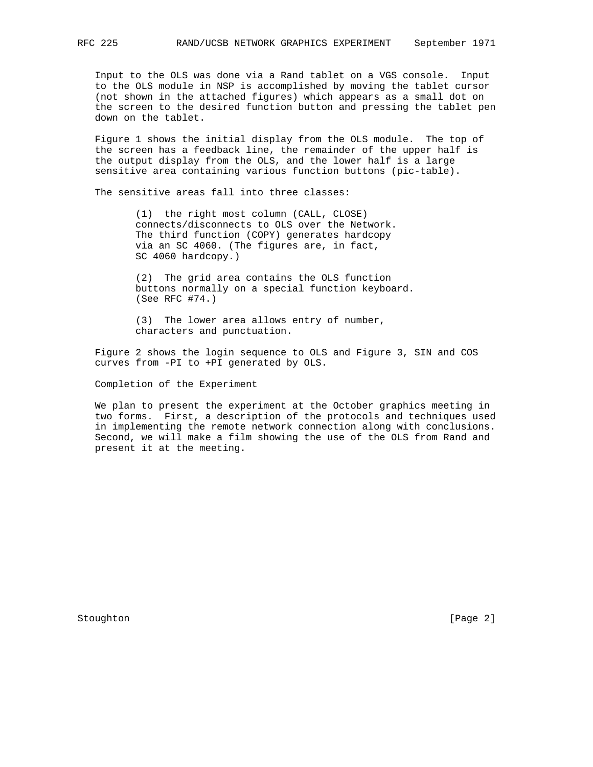Input to the OLS was done via a Rand tablet on a VGS console. Input to the OLS module in NSP is accomplished by moving the tablet cursor (not shown in the attached figures) which appears as a small dot on the screen to the desired function button and pressing the tablet pen down on the tablet.

 Figure 1 shows the initial display from the OLS module. The top of the screen has a feedback line, the remainder of the upper half is the output display from the OLS, and the lower half is a large sensitive area containing various function buttons (pic-table).

The sensitive areas fall into three classes:

 (1) the right most column (CALL, CLOSE) connects/disconnects to OLS over the Network. The third function (COPY) generates hardcopy via an SC 4060. (The figures are, in fact, SC 4060 hardcopy.)

 (2) The grid area contains the OLS function buttons normally on a special function keyboard. (See RFC #74.)

 (3) The lower area allows entry of number, characters and punctuation.

 Figure 2 shows the login sequence to OLS and Figure 3, SIN and COS curves from -PI to +PI generated by OLS.

Completion of the Experiment

 We plan to present the experiment at the October graphics meeting in two forms. First, a description of the protocols and techniques used in implementing the remote network connection along with conclusions. Second, we will make a film showing the use of the OLS from Rand and present it at the meeting.

Stoughton [Page 2]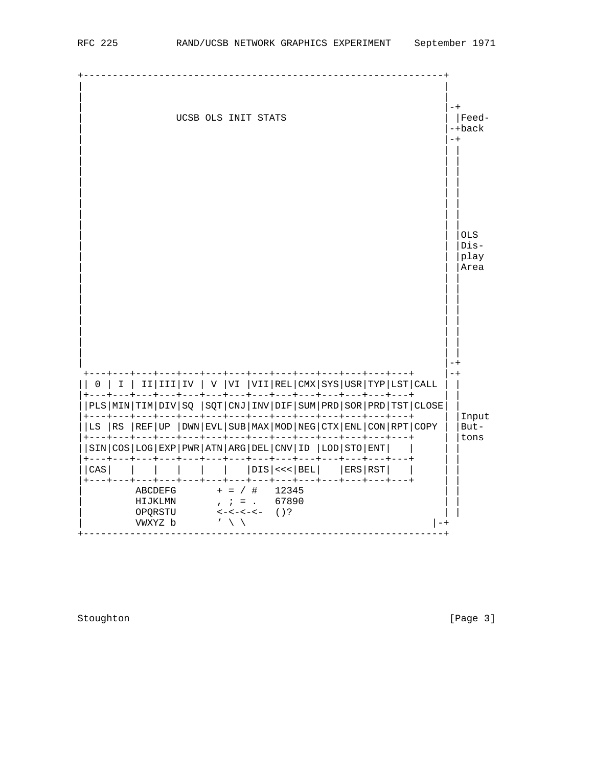

Stoughton [Page 3]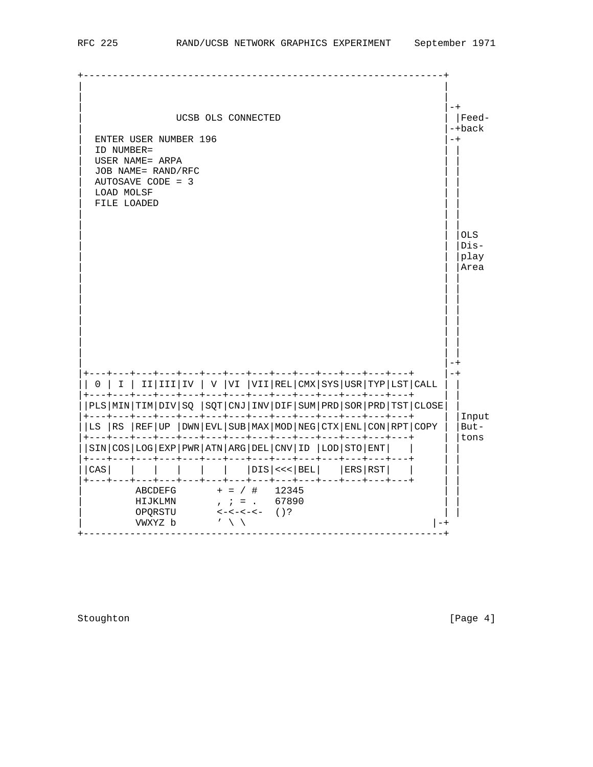| UCSB OLS CONNECTED<br><b>ENTER USER NUMBER 196</b><br>ID NUMBER=<br>USER NAME= ARPA<br>JOB NAME= RAND/RFC<br>AUTOSAVE CODE = 3     |                |            |             |  |  |  |  |  |  |                                                                                                                               |  |  |  |  | $-+$<br>$-+$                                                                                                                                            | Feed-<br>-+back |                               |
|------------------------------------------------------------------------------------------------------------------------------------|----------------|------------|-------------|--|--|--|--|--|--|-------------------------------------------------------------------------------------------------------------------------------|--|--|--|--|---------------------------------------------------------------------------------------------------------------------------------------------------------|-----------------|-------------------------------|
|                                                                                                                                    |                | LOAD MOLSF | FILE LOADED |  |  |  |  |  |  |                                                                                                                               |  |  |  |  |                                                                                                                                                         |                 | OLS<br>$Dis-$<br>play<br>Area |
|                                                                                                                                    | 0 <sup>1</sup> |            |             |  |  |  |  |  |  | ---+---+---+---+---+---+---+---+---+<br>-+---+---+---+---+---+---+---+---+---+---+---+-                                       |  |  |  |  | I   II III IV   V  VI  VII REL CMX SYS USR TYP LST CALL                                                                                                 | $-+$            |                               |
|                                                                                                                                    |                |            |             |  |  |  |  |  |  | +---+---+---+---+---+---+---+---+---+---+---+---+---+---+---+                                                                 |  |  |  |  | $ PLS MIN TIM DIV SQ SQT CN INV DIF SUM PRD SOR PRD TST CLOSE$<br>LS   RS   REF   UP   DWN   EVL   SUB   MAX   MOD   NEG   CTX   ENL   CON   RPT   COPY |                 | Input<br>$But -$              |
|                                                                                                                                    |                |            |             |  |  |  |  |  |  | -+---+---+---+---+---+---+---+---+---+---+---+-<br>SIN   COS   LOG   EXP   PWR   ATN   ARG   DEL   CNV   ID   LOD   STO   ENT |  |  |  |  |                                                                                                                                                         |                 | tons                          |
|                                                                                                                                    | CAS            |            |             |  |  |  |  |  |  | --+---+---+---+---+---+---+<br>$ DIS  <<  BEL $ $ ERS  RST $                                                                  |  |  |  |  |                                                                                                                                                         |                 |                               |
| --+---+---+---+---+---+---+---+<br>$+$ = / # 12345<br>ABCDEFG<br>$; i = . 67890$<br>HIJKLMN<br>OPQRSTU<br>VWXYZ b<br>$\cdot$ \ \ \ |                |            |             |  |  |  |  |  |  |                                                                                                                               |  |  |  |  |                                                                                                                                                         |                 |                               |

Stoughton [Page 4]